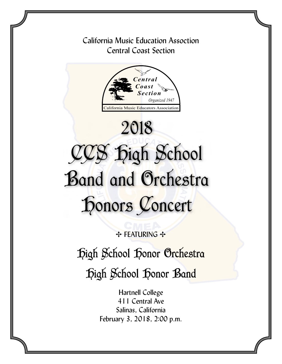## California Music Education Assoction Central Coast Section



## $\mathbf{p}$ **FI A**<br> **A**<br> **A**<br> **A O** a and Orches **<sup>N</sup><sup>I</sup><sup>A</sup> <sup>M</sup>USI<sup>C</sup> <sup>E</sup>DUCATOR<sup>S</sup> <sup>A</sup>SS<sup>O</sup> OI N** Honors Concert 2018 CCS High School Band and Orchestra

**++ FEATURING ++** 

High School Honor Orchestra

High School Honor Band

Hartnell College 411 Central Ave Salinas, California February 3, 2018, 2:00 p.m.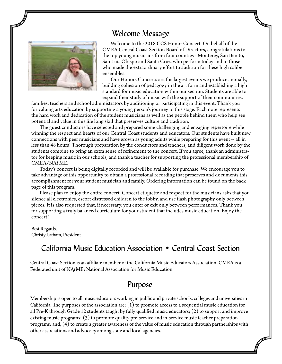#### Welcome Message



Welcome to the 2018 CCS Honor Concert. On behalf of the CMEA Central Coast Section Board of Directors, congratulations to the top young musicians from four counties - Monterey, San Benito, San Luis Obispo and Santa Cruz, who perform today and to those who made the extraordinary effort to audition for these high caliber ensembles.

Our Honors Concerts are the largest events we produce annually, building cohesion of pedagogy in the art form and establishing a high standard for music education within our section. Students are able to expand their study of music with the support of their communities,

families, teachers and school administrators by auditioning or participating in this event. Thank you for valuing arts education by supporting a young person's journey to this stage. Each note represents the hard work and dedication of the student musicians as well as the people behind them who help see potential and value in this life long skill that preserves culture and tradition.

The guest conductors have selected and prepared some challenging and engaging repertoire while winning the respect and hearts of our Central Coast students and educators. Our students have built new connections with peer musicians and have grown as young adults while preparing for this event -- all in less than 48 hours! Thorough preparation by the conductors and teachers, and diligent work done by the students combine to bring an extra sense of refinement to the concert. If you agree, thank an administrator for keeping music in our schools, and thank a teacher for supporting the professional membership of CMEA/NAf ME.

Today's concert is being digitally recorded and will be available for purchase. We encourage you to take advantage of this opportunity to obtain a professional recording that preserves and documents this accomplishment for your student musician and family. Ordering information can be found on the back page of this program.

Please plan to enjoy the entire concert. Concert etiquette and respect for the musicians asks that you silence all electronics, escort distressed children to the lobby, and use flash photography only between pieces. It is also requested that, if necessary, you enter or exit only between performances. Thank you for supporting a truly balanced curriculum for your student that includes music education. Enjoy the concert!

Best Regards, Christy Latham, President

#### California Music Education Association • Central Coast Section

Central Coast Section is an affiliate member of the California Music Educators Association. CMEA is a Federated unit of NA*f*ME: National Association for Music Education.

### Purpose

Membership is open to all music educators working in public and private schools, colleges and universities in California. The purposes of the association are: (1) to promote access to a sequential music education for all Pre-K through Grade 12 students taught by fully qualified music educators; (2) to support and improve existing music programs; (3) to promote quality pre-service and in-service music teacher preparation programs; and, (4) to create a greater awareness of the value of music education through partnerships with other associations and advocacy among state and local agencies.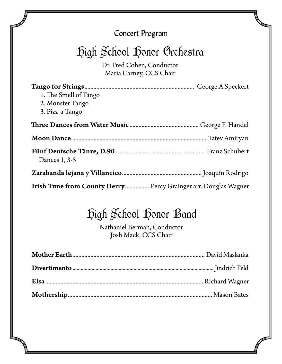## Concert Program

# High School Honor Orchestra

Dr. Fred Cohen, Conductor Maria Carney, CCS Chair

| 1. The Smell of Tango                                                  |
|------------------------------------------------------------------------|
| 2. Monster Tango                                                       |
| 3. Pizz-a-Tango                                                        |
|                                                                        |
|                                                                        |
| Dances 1, 3-5                                                          |
|                                                                        |
| <b>Irish Tune from County Derry</b> Percy Grainger arr. Douglas Wagner |

# High School Honor Band

Nathaniel Berman, Conductor Josh Mack, CCS Chair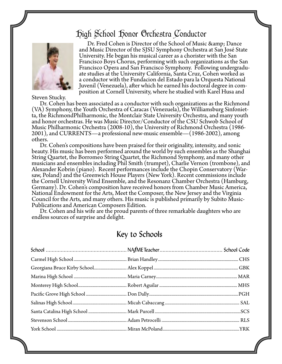# High School Honor Orchestra Conductor



Dr. Fred Cohen is Director of the School of Music & amp; Dance and Music Director of the SJSU Symphony Orchestra at San José State University. He began his musical career as a chorister with the San Francisco Boys Chorus, performing with such organizations as the San Francisco Opera and San Francisco Symphony. Following undergradu- ate studies at the University California, Santa Cruz, Cohen worked as a conductor with the Fundacion del Estado para la Orquesta National Juvenil (Venezuela), after which he earned his doctoral degree in com- position at Cornell University, where he studied with Karel Husa and

Steven Stucky.<br>Dr. Cohen has been associated as a conductor with such organizations as the Richmond (VA) Symphony, the Youth Orchestra of Caracas (Venezuela), the Williamsburg Sinfoniet-<br>ta, the RichmondPhilharmonic, the Montclair State University Orchestra, and many youth and honor orchestras. He was Music Director/Conductor of the CSU Schwob School of Music Philharmonic Orchestra (2008-10), the University of Richmond Orchestra (1986- 2001), and CURRENTS—a professional new-music ensemble—(1986-2002), among

others.<br>Dr. Cohen's compositions have been praised for their originality, intensity, and sonic beauty. His music has been performed around the world by such ensembles as the Shanghai String Quartet, the Borromeo String Quartet, the Richmond Symphony, and many other musicians and ensembles including Phil Smith (trumpet), Charlie Vernon (trombone), and Alexander Kobrin (piano). Recent performances include the Chopin Conservatory (War- saw, Poland) and the Greenwich House Players (New York). Recent commissions include the Cornell University Wind Ensemble, and the Resonanz Chamber Orchestra (Hamburg, Germany). Dr. Cohen's composition have received honors from Chamber Music America, National Endowment for the Arts, Meet the Composer, the New Jersey and the Virginia Council for the Arts, and many others. His music is published primarily by Subito Music- Publications and American Composers Edition.

Dr. Cohen and his wife are the proud parents of three remarkable daughters who are endless sources of surprise and delight.

#### Key to Schools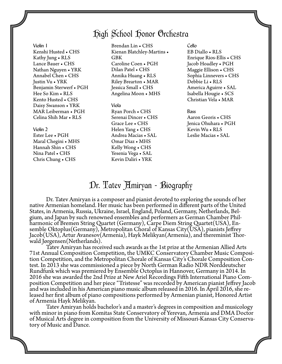# High School Honor Orchestra

Violin 1 Kenshi Husted • CHS Kathy Jung • RLS Lance Bauer • CHS Nathan Nguyen • YRK Annabel Chen • CHS Justin Vu • YRK Benjamin Sterwerf • PGH Hee So Kim • RLS Kento Husted • CHS Daisy Swanson • YRK MAR Leiberman • PGH Celina Shih Mar • RLS

#### Violin 2

Ester Lee • PGH Maral Chegini • MHS Hannah Shin • CHS Nina Patel • CHS Chris Chung • CHS

Brendan Lin • CHS Kienan Blatchley-Martins • GBK Caroline Coen • PGH Dilan Patel • CHS Annika Huang • RLS Riley Brearton • MAR Jessica Small • CHS Angelina Moon • MHS

Viola Ryan Porch • CHS Serenai Dincer • CHS Grace Lee • CHS Helen Yang • CHS Andrea Macias • SAL Omar Diaz • MHS Kelly Wong • CHS Yesenia Vega • SAL Kevin Daliri • YRK

Cello EB Diallo • RLS Enrique Rios-Ellis • CHS Jacob Hoadley • PGH Maggie Ellison • CHS Sophia Linnevers • CHS Debbie Li • RLS America Aguirre • SAL Isabella Hougie • SCS Christian Vela • MAR

Bass Aaron Georis • CHS Jenica Ohuhara • PGH Kevin Wu • RLS Leslie Macias • SAL

### Dr. Tatev Hmiryan - Biography

Dr. Tatev Amiryan is a composer and pianist devoted to exploring the sounds of her native Armenian homeland. Her music has been performed in different parts of the United gium, and Japan by such renowned ensembles and performers as German Chamber Philharmonic of Bremen String Quartet (Germany), Carpe Diem String Quartet (USA), Ensemble Oktoplus (Germany), Metropolitan Choral of Kansas City

wald Jørgensen(Netherlands).<br>Tatev Amiryan has received such awards as the 1st prize at the Armenian Allied Arts<br>71st Annual Composition Competition, the UMKC Conservatory Chamber Music Composition Competition, and the Metropolitan Chorale of Kansas City's Chorale Composition Contest. In 2013 she was commissioned a piece by North German Radio NDR Norddeutscher Rundfunk which was premiered by Ensemble Octoplus in Hannover, Germany in 2014. In position Competition and her piece "Tristesse" was recorded by American pianist Jeffrey Jacob<br>and was included in his American piano music album released in 2016. In April 2016, she released her first album of piano compositions performed by Armenian pianist, Honored Artist

of Armenia Hayk Melikyan.<br>Tatev Amiryan holds bachelor's and a master's degrees in composition and musicology with minor in piano from Komitas State Conservatory of Yerevan, Armenia and DMA Doctor of Musical Arts degree in composition from the University of Missouri-Kansas City Conserva- tory of Music and Dance.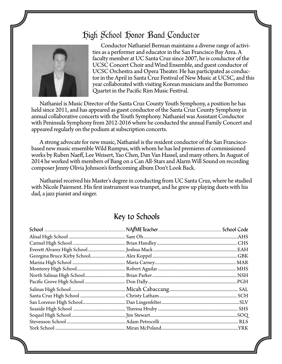# High School Honor Band Conductor



Conductor Nathaniel Berman maintains a diverse range of activi- ties as a performer and educator in the San Francisco Bay Area. A faculty member at UC Santa Cruz since 2007, he is conductor of the UCSC Concert Choir and Wind Ensemble, and guest conductor of UCSC Orchestra and Opera Theater. He has participated as conduc- tor in the April in Santa Cruz Festival of New Music at UCSC, and this year collaborated with visiting Korean musicians and the Borromeo Quartet in the Pacific Rim Music Festival.

Nathaniel is Music Director of the Santa Cruz County Youth Symphony, a position he has held since 2011, and has appeared as guest conductor of the Santa Cruz County Symphony in annual collaborative concerts with the Youth Symphony. Nathaniel was Assistant Conductor with Peninsula Symphony from 2012-2016 where he conducted the annual Family Concert and appeared regularly on the podium at subscription concerts.

A strong advocate for new music, Nathaniel is the resident conductor of the San Franciscobased new music ensemble Wild Rumpus, with whom he has led premieres of commissioned works by Ruben Naeff, Lee Weisert, Yao Chen, Dan Van Hassel, and many others. In August of 2014 he worked with members of Bang on a Can All-Stars and Alarm Will Sound on recording composer Jenny Olivia Johnson's forthcoming album Don't Look Back.

Nathaniel received his Master's degree in conducting from UC Santa Cruz, where he studied with Nicole Paiement. His first instrument was trumpet, and he grew up playing duets with his dad, a jazz pianist and singer.

#### Key to Schools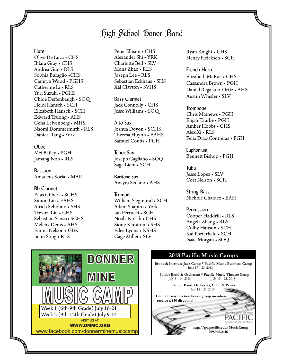# High School Honor Band

#### Flute

Olive De Luca • CHS Ihlara Gray • CHS Andrea Guo • RLS Sophia Buraglio •CHS Camryn Wood • PGHS Catherine Li • RLS Yuri Suzuki • PGHS Chloe Deffenbaugh • SOQ Heidi Hansch • SCH Elizabeth Hansch • SCH Edward Truong • AHS Gena Leivenberg • MHS Naomi Dommermuth • RLS Danica Tang • York

Oboe Mei Bailey • PGH Jaesang Noh • RLS

Bassoon Amadeus Soria • MAR

Bb Clarinet Elias Gilbert • SCHS Simon Liu • EAHS Alrich Sebolino • SHS *Music, Magic & Memories*  Trevor Lin • CHS Sebastian Sanso• SCHS Meleny Denis • AHS Emma Nelson • GBK Jienn Song • RLS

Peter Ellison • CHS Alexander Shi • YRK Charlotte Bell • SLV Mona Zhao • RLS Joseph Lee • RLS Sebastian Eckhaus • SHS Xai Clayton • SVHS

Bass Clarinet Jack Connolly • CHS Jesse Williams • SOQ

Alto Sax Joshua Doyon • SCHS Theresa Huynh • EAHS Samuel Coutts • PGH

Tenor Sax Joseph Gagliano • SOQ Sage Liem • SCH

Baritone Sax Anayra Sedano • AHS

Trumpet William Siegmund • SCH Adam Shapiro • York Ian Ferrucci • SCH CHS Noah Kirsch • CHS Sione Kamitoni• SHS Edee Lyons . NSHS Gage Miller • SLV

> I I I I I I I

Ryan Knight • CHS Henry Heicksen • SCH

French Horn Elizabeth McRae • CHS Cassandra Brown • PGH Daniel Regalado-Ortiz • AHS Austin Whisler • SLV

Trombone Chris Mathews • PGH Elijah Taurke • PGH Amber Hobbs • CHS Alex Xi • RLS Felix Diaz-Contreras • PGH

Euphonium Bennett Bishop • PGH

Tuba Jesse Lopez • SLV Cort Nelson • SCH

String Bass Nichole Chaidez • EAH

Percussion Cooper Haddrill • RLS Angela Zhang • RLS Colby Hanson • SCH Kai Porterfield • SCH Isaac Morgan • SOQ



#### **2018 Pacific Music Camps**

 **Brubeck Institute Jazz Camp \* Pacific Music Business Camp** June 17 – 23, 2018

 **Junior Band & Orchestra \* Pacific Music Theatre Camp** July  $8-14$ ,  $2018$  July  $15-21$ ,  $2018$ July  $15 - 21$ , 2018

 **Senior Band, Orchestra, Choir & Piano** July 15 – 21, 2018  **Central Coast Section honor group members receive a \$50 discount!**  ΠН

> **http://go.pacific.edu/MusicCamp 209.946.2416**